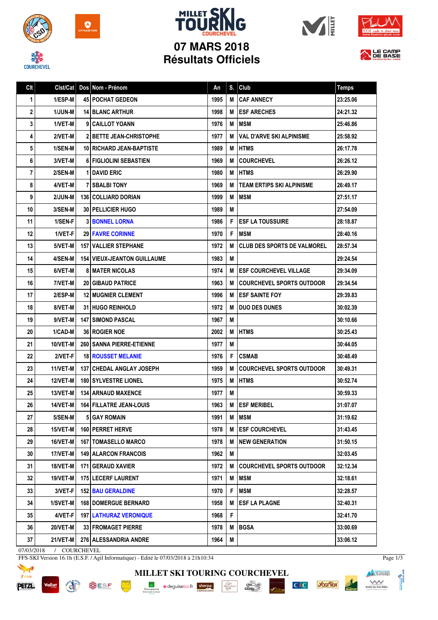



## **MILLET SK 07 MARS 2018 Résultats Officiels**







| Clt | Clst/Cat        | Dos Nom - Prénom                     | An   | S. | Club                               | <b>Temps</b> |
|-----|-----------------|--------------------------------------|------|----|------------------------------------|--------------|
| 1   | 1/ESP-M         | <b>45 POCHAT GEDEON</b>              | 1995 | M  | <b>CAF ANNECY</b>                  | 23:25.06     |
| 2   | <b>1/JUN-M</b>  | <b>14 BLANC ARTHUR</b>               | 1998 | м  | <b>ESF ARECHES</b>                 | 24:21.32     |
| 3   | 1/VET-M         | 9 CAILLOT YOANN                      | 1976 | М  | <b>IMSM</b>                        | 25:46.86     |
| 4   | 2/VET-M         | 2   BETTE JEAN-CHRISTOPHE            | 1977 | M  | <b>VAL D'ARVE SKI ALPINISME</b>    | 25:58.92     |
| 5   | 1/SEN-M         | 10 RICHARD JEAN-BAPTISTE             | 1989 | М  | <b>I HTMS</b>                      | 26:17.78     |
| 6   | 3/VET-M         | <b>6 FIGLIOLINI SEBASTIEN</b>        | 1969 | M  | <b>COURCHEVEL</b>                  | 26:26.12     |
| 7   | 2/SEN-M         | <b>1 DAVID ERIC</b>                  | 1980 | М  | <b>IHTMS</b>                       | 26:29.90     |
| 8   | 4/VET-M         | <b>7 I SBALBI TONY</b>               | 1969 | M  | <b>TEAM ERTIPS SKI ALPINISME</b>   | 26:49.17     |
| 9   | 2/JUN-M         | <b>136 COLLIARD DORIAN</b>           | 1999 | М  | <b>IMSM</b>                        | 27:51.17     |
| 10  | 3/SEN-M         | <b>30   PELLICIER HUGO</b>           | 1989 | M  |                                    | 27:54.09     |
| 11  | 1/SEN-F         | <b>31 BONNEL LORNA</b>               | 1986 | F  | <b>ESF LA TOUSSUIRE</b>            | 28:18.87     |
| 12  | 1/VET-F         | <b>29 FAVRE CORINNE</b>              | 1970 | F  | <b>MSM</b>                         | 28:40.16     |
| 13  | 5/VET-M         | <b>157   VALLIER STEPHANE</b>        | 1972 | M  | <b>CLUB DES SPORTS DE VALMOREL</b> | 28:57.34     |
| 14  | 4/SEN-M         | <b>154   VIEUX-JEANTON GUILLAUME</b> | 1983 | M  |                                    | 29:24.54     |
| 15  | 6/VET-M         | <b>8 I MATER NICOLAS</b>             | 1974 | М  | <b>IESF COURCHEVEL VILLAGE</b>     | 29:34.09     |
| 16  | 7/VET-M         | <b>20 GIBAUD PATRICE</b>             | 1963 | M  | <b>COURCHEVEL SPORTS OUTDOOR</b>   | 29:34.54     |
| 17  | 2/ESP-M         | <b>12   MUGNIER CLEMENT</b>          | 1996 | M  | <b>IESF SAINTE FOY</b>             | 29:39.83     |
| 18  | 8/VET-M         | <b>31 HUGO REINHOLD</b>              | 1972 | M  | <b>DUO DES DUNES</b>               | 30:02.39     |
| 19  | 9/VET-M         | <b>147 I SIMOND PASCAL</b>           | 1967 | М  |                                    | 30:10.66     |
| 20  | 1/CAD-M         | <b>36 ROGIER NOE</b>                 | 2002 | м  | <b>I HTMS</b>                      | 30:25.43     |
| 21  | 10/VET-M        | <b>260   SANNA PIERRE-ETIENNE</b>    | 1977 | М  |                                    | 30:44.05     |
| 22  | 2/VET-F         | <b>18 ROUSSET MELANIE</b>            | 1976 | F. | <b>CSMAB</b>                       | 30:48.49     |
| 23  | 11/VET-M        | <b>137 CHEDAL ANGLAY JOSEPH</b>      | 1959 | M  | <b>COURCHEVEL SPORTS OUTDOOR</b>   | 30:49.31     |
| 24  | <b>12/VET-M</b> | <b>180 SYLVESTRE LIONEL</b>          | 1975 | М  | <b>HTMS</b>                        | 30:52.74     |
| 25  | 13/VET-M        | <b>134   ARNAUD MAXENCE</b>          | 1977 | M  |                                    | 30:59.33     |
| 26  | 14/VET-M        | 164 FILLATRE JEAN-LOUIS              | 1963 |    | M ESF MERIBEL                      | 31:07.07     |
| 27  | 5/SEN-M         | 5 GAY ROMAIN                         | 1991 | M  | <b>MSM</b>                         | 31:19.62     |
| 28  | 15/VET-M        | 160 PERRET HERVE                     | 1978 | M  | <b>ESF COURCHEVEL</b>              | 31:43.45     |
| 29  | 16/VET-M        | <b>167 TOMASELLO MARCO</b>           | 1978 | M  | <b>NEW GENERATION</b>              | 31:50.15     |
| 30  | 17/VET-M        | <b>149   ALARCON FRANCOIS</b>        | 1962 | M  |                                    | 32:03.45     |
| 31  | 18/VET-M        | 171 GERAUD XAVIER                    | 1972 | м  | <b>COURCHEVEL SPORTS OUTDOOR</b>   | 32:12.34     |
| 32  | 19/VET-M        | 175 LECERF LAURENT                   | 1971 | M  | <b>MSM</b>                         | 32:18.61     |
| 33  | 3/VET-F         | <b>152 BAU GERALDINE</b>             | 1970 | F  | <b>MSM</b>                         | 32:28.57     |
| 34  | 1/SVET-M        | <b>168   DOMERGUE BERNARD</b>        | 1958 | M  | <b>ESF LA PLAGNE</b>               | 32:40.31     |
| 35  | 4/VET-F         | <b>197   LATHURAZ VERONIQUE</b>      | 1968 | F  |                                    | 32:41.70     |
| 36  | 20/VET-M        | <b>33 FROMAGET PIERRE</b>            | 1978 | M  | <b>BGSA</b>                        | 33:00.69     |
| 37  | 21/VET-M        | 276   ALESSANDRIA ANDRE              | 1964 | M  |                                    | 33:06.12     |

07/03/2018 / COURCHEVEL

FFS-SKI Version 16.1h (E.S.F. / Agil Informatique) - Edité le 07/03/2018 à 21h10:34



**Vallat BUSF PORT AND IN** 



Page 1/3

**Manufacture of the Second September 1989** 

C<sub>IC</sub> you'lea

NONE<sup>2</sup>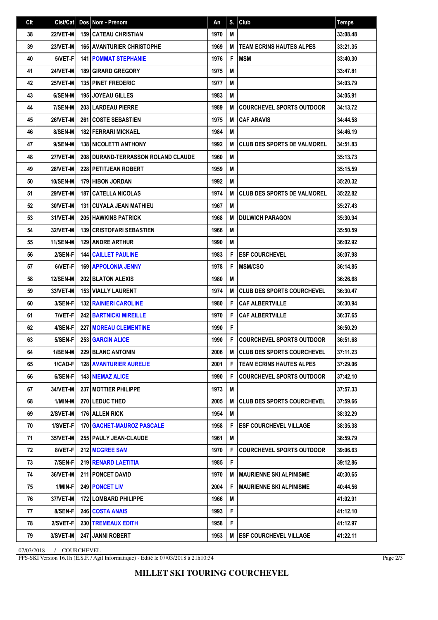| C <sub>It</sub> | Clst/Cat        | Dos Nom - Prénom                          | An   | S. | Club                                  | <b>Temps</b> |
|-----------------|-----------------|-------------------------------------------|------|----|---------------------------------------|--------------|
| 38              | 22/VET-M        | <b>159   CATEAU CHRISTIAN</b>             | 1970 | M  |                                       | 33:08.48     |
| 39              | 23/VET-M        | <b>165 AVANTURIER CHRISTOPHE</b>          | 1969 | M  | <b>TEAM ECRINS HAUTES ALPES</b>       | 33:21.35     |
| 40              | 5/VET-F         | <b>141   POMMAT STEPHANIE</b>             | 1976 | F  | <b>MSM</b>                            | 33:40.30     |
| 41              | 24/VET-M        | <b>189 GIRARD GREGORY</b>                 | 1975 | M  |                                       | 33:47.81     |
| 42              | 25/VET-M        | <b>135 PINET FREDERIC</b>                 | 1977 | M  |                                       | 34:03.79     |
| 43              | 6/SEN-M         | <b>195 JOYEAU GILLES</b>                  | 1983 | M  |                                       | 34:05.91     |
| 44              | 7/SEN-M         | 203 LARDEAU PIERRE                        | 1989 | M  | <b>COURCHEVEL SPORTS OUTDOOR</b>      | 34:13.72     |
| 45              | 26/VET-M        | <b>261 COSTE SEBASTIEN</b>                | 1975 | M  | <b>CAF ARAVIS</b>                     | 34:44.58     |
| 46              | 8/SEN-M         | <b>182 FERRARI MICKAEL</b>                | 1984 | M  |                                       | 34:46.19     |
| 47              | 9/SEN-M         | <b>138 INICOLETTI ANTHONY</b>             | 1992 | M  | <b>CLUB DES SPORTS DE VALMOREL</b>    | 34:51.83     |
| 48              | 27/VET-M        | <b>208 DURAND-TERRASSON ROLAND CLAUDE</b> | 1960 | M  |                                       | 35:13.73     |
| 49              | 28/VET-M        | <b>228 PETITJEAN ROBERT</b>               | 1959 | M  |                                       | 35:15.59     |
| 50              | <b>10/SEN-M</b> | <b>179 HIBON JORDAN</b>                   | 1992 | M  |                                       | 35:20.32     |
| 51              | 29/VET-M        | <b>187 CATELLA NICOLAS</b>                | 1974 | M  | <b>CLUB DES SPORTS DE VALMOREL</b>    | 35:22.82     |
| 52              | 30/VET-M        | <b>131 CUYALA JEAN MATHIEU</b>            | 1967 | M  |                                       | 35:27.43     |
| 53              | 31/VET-M        | <b>205 HAWKINS PATRICK</b>                | 1968 | M  | <b>DULWICH PARAGON</b>                | 35:30.94     |
| 54              | 32/VET-M        | <b>139 CRISTOFARI SEBASTIEN</b>           | 1966 | M  |                                       | 35:50.59     |
| 55              | 11/SEN-M        | 129 ANDRE ARTHUR                          | 1990 | M  |                                       | 36:02.92     |
| 56              | 2/SEN-F         | <b>144   CAILLET PAULINE</b>              | 1983 | F  | <b>ESF COURCHEVEL</b>                 | 36:07.98     |
| 57              | 6/VET-F         | 169 APPOLONIA JENNY                       | 1978 | F  | <b>MSM/CSO</b>                        | 36:14.85     |
| 58              | <b>12/SEN-M</b> | <b>202 BLATON ALEXIS</b>                  | 1980 | M  |                                       | 36:26.68     |
| 59              | 33/VET-M        | 153 VIALLY LAURENT                        | 1974 | M  | <b>CLUB DES SPORTS COURCHEVEL</b>     | 36:30.47     |
| 60              | 3/SEN-F         | <b>132 RAINIERI CAROLINE</b>              | 1980 | F  | <b>CAF ALBERTVILLE</b>                | 36:30.94     |
| 61              | 7/VET-F         | <b>242 BARTNICKI MIREILLE</b>             | 1970 | F  | <b>CAF ALBERTVILLE</b>                | 36:37.65     |
| 62              | 4/SEN-F         | <b>227 MOREAU CLEMENTINE</b>              | 1990 | F  |                                       | 36:50.29     |
| 63              | 5/SEN-F         | 253 GARCIN ALICE                          | 1990 | F  | <b>COURCHEVEL SPORTS OUTDOOR</b>      | 36:51.68     |
| 64              | 1/BEN-M         | 229 BLANC ANTONIN                         | 2006 |    | <b>M   CLUB DES SPORTS COURCHEVEL</b> | 37:11.23     |
| 65              | 1/CAD-F         | <b>128   AVANTURIER AURELIE</b>           | 2001 | F  | I TEAM ECRINS HAUTES ALPES            | 37:29.06     |
| 66              | 6/SEN-F         | <b>143 NIEMAZ ALICE</b>                   | 1990 | F  | <b>COURCHEVEL SPORTS OUTDOOR</b>      | 37:42.10     |
| 67              | 34/VET-M        | 237 MOTTIER PHILIPPE                      | 1973 | M  |                                       | 37:57.33     |
| 68              | 1/MIN-M         | 270 LEDUC THEO                            | 2005 | M  | <b>CLUB DES SPORTS COURCHEVEL</b>     | 37:59.66     |
| 69              | 2/SVET-M        | 176 ALLEN RICK                            | 1954 | M  |                                       | 38:32.29     |
| 70              | 1/SVET-F        | 170   GACHET-MAUROZ PASCALE               | 1958 | F  | <b>ESF COURCHEVEL VILLAGE</b>         | 38:35.38     |
| 71              | <b>35/VET-M</b> | 255   PAULY JEAN-CLAUDE                   | 1961 | М  |                                       | 38:59.79     |
| 72              | 8/VET-F         | 212 MCGREE SAM                            | 1970 | F  | <b>COURCHEVEL SPORTS OUTDOOR</b>      | 39:06.63     |
| 73              | 7/SEN-F         | 219 RENARD LAETITIA                       | 1985 | F  |                                       | 39:12.86     |
| 74              | 36/VET-M        | 211 PONCET DAVID                          | 1970 | M  | I MAURIENNE SKI ALPINISME             | 40:30.65     |
| 75              | 1/MIN-F         | 249 PONCET LIV                            | 2004 | F  | MAURIENNE SKI ALPINISME               | 40:44.56     |
| 76              | 37/VET-M        | 172 LOMBARD PHILIPPE                      | 1966 | M  |                                       | 41:02.91     |
| 77              | 8/SEN-F         | <b>246 COSTA ANAIS</b>                    | 1993 | F  |                                       | 41:12.10     |
| 78              | 2/SVET-F        | <b>230   TREMEAUX EDITH</b>               | 1958 | F  |                                       | 41:12.97     |
| 79              | 3/SVET-M        | 247 JANNI ROBERT                          | 1953 | М  | <b>ESF COURCHEVEL VILLAGE</b>         | 41:22.11     |

07/03/2018 / COURCHEVEL

FFS-SKI Version 16.1h (E.S.F. / Agil Informatique) - Edité le 07/03/2018 à 21h10:34

Page 2/3